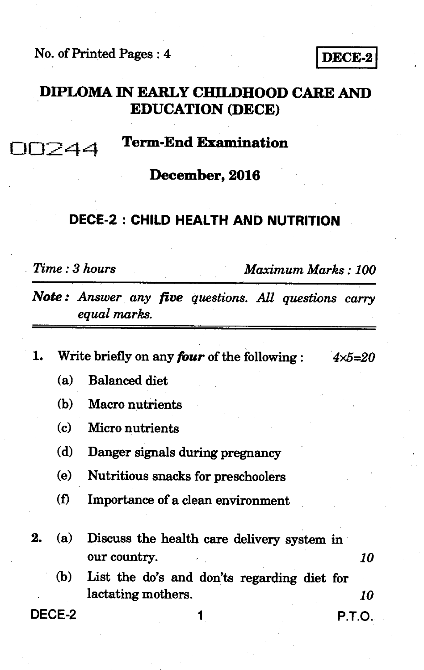**No. of Printed Pages : 4 IDECE-2** 

**DIPLOMA IN EARLY CHILDHOOD CARE AND EDUCATION (DECE)** 

0024-4 **Term-End Examination** 

**December, 2016** 

#### **DECE-2 : CHILD HEALTH AND NUTRITION**

*Time : 3 hours Maximum Marks : 100* 

*Note : Answer any five questions. All questions carry equal marks.* 

**1.** Write briefly on any *four* of the following  $4 \times 5 = 20$ 

- **(a) Balanced diet**
- **(b) Macro nutrients**
- **(c) Micro nutrients**
- **(d) Danger signals during pregnancy**
- **(e) Nutritious snacks for preschoolers**
- **(f) Importance of a clean environment**
- **2.** *(a)* **Discuss the health care delivery system in our country.** *10*  **(b) List the do's and don'ts regarding diet for** 
	- **lactating mothers.** *10*

**DECE-2 1 P.T.O.**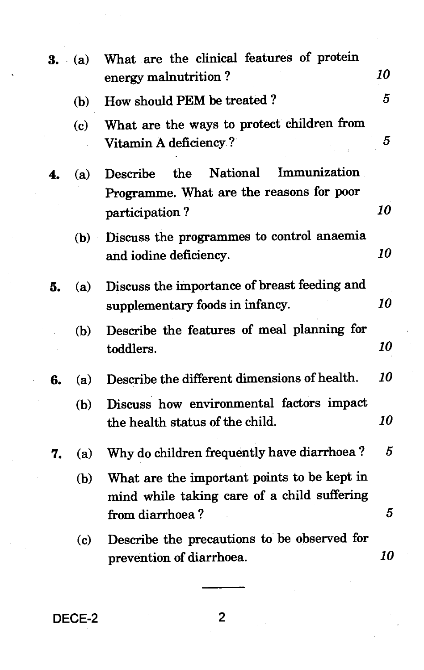|    | $3. \quad (a)$              | What are the clinical features of protein<br>energy malnutrition?                                             | 10 |
|----|-----------------------------|---------------------------------------------------------------------------------------------------------------|----|
|    | (b)                         | How should PEM be treated?                                                                                    | 5  |
|    | $\left( \mathbf{c} \right)$ | What are the ways to protect children from<br>Vitamin A deficiency?                                           | 5  |
| 4. | (a)                         | <b>National</b><br>Immunization<br>Describe<br>the                                                            |    |
|    |                             | Programme. What are the reasons for poor<br>participation?                                                    | 10 |
|    | (b)                         | Discuss the programmes to control anaemia<br>and iodine deficiency.                                           | 10 |
| 5. | (a)                         | Discuss the importance of breast feeding and<br>supplementary foods in infancy.                               | 10 |
|    | (b)                         | Describe the features of meal planning for<br>toddlers.                                                       | 10 |
| 6. | (a)                         | Describe the different dimensions of health.                                                                  | 10 |
|    | (b)                         | Discuss how environmental factors impact<br>the health status of the child.                                   | 10 |
| 7. | (a)                         | Why do children frequently have diarrhoea?                                                                    | 5  |
|    | (b)                         | What are the important points to be kept in<br>mind while taking care of a child suffering<br>from diarrhoea? | 5  |
|    | $\left( \mathbf{c} \right)$ | Describe the precautions to be observed for<br>prevention of diarrhoea.                                       | 10 |

**DECE-2 2**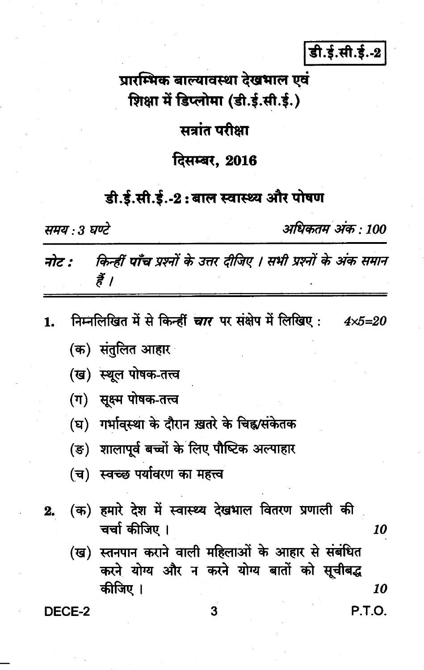डी.ई.सी.ई.-2

# प्रारम्भिक बाल्यावस्था देखभाल एवं शिक्षा में डिप्लोमा (डी.ई.सी.ई.)

### सत्रांत परीक्षा

#### दिसम्बर. 2016

## डी.ई.सी.ई.-2:बाल स्वास्थ्य और पोषण

समय : 3 घण्टे

अधिकतम अंक : 100

P.T.O.

किन्हीं पाँच प्रश्नों के उत्तर दीजिए । सभी प्रश्नों के अंक समान नोट : हैं ।

- निम्नलिखित में से किन्हीं *चार* पर संक्षेप में लिखिए :  $4x5=20$ 1.
	- (क) संतुलित आ<mark>हा</mark>र
	- (ख) स्थूल पोषक-तत्त्व
	- (ग) सूक्ष्म पोषक-तत्त्व
	- (घ) गर्भावस्था के दौरान ख़तरे के चिह्न/संकेतक
	- (ङ) शालापूर्व बच्चों के लिए पौष्टिक अल्पाहार
	- (च) स्वच्छ पर्यावरण का महत्त्व
- (क) हमारे देश में स्वास्थ्य देखभाल वितरण प्रणाली की 2. चर्चा कीजिए । 10
	- (ख) स्तनपान कराने वाली महिलाओं के आहार से संबंधित करने योग्य और न करने योग्य बातों को सूचीबद्ध कीजिए । 10

DECE-2